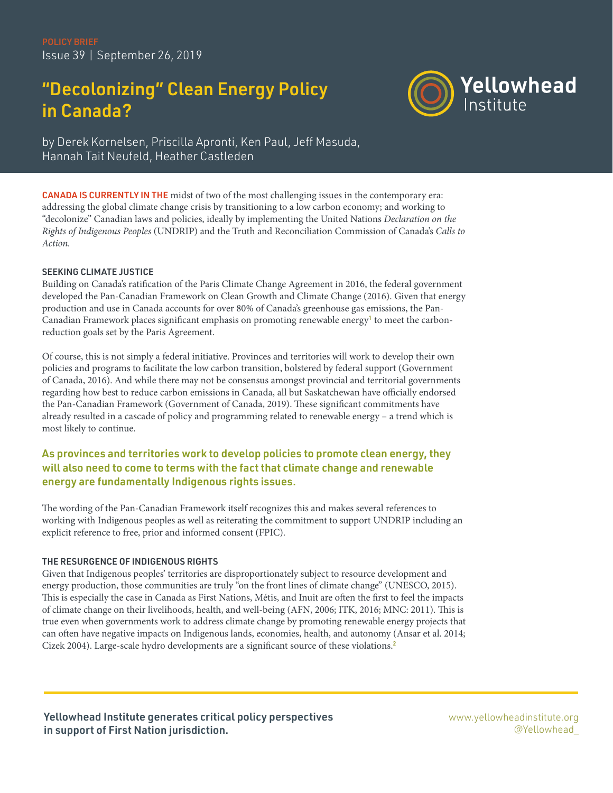# "Decolonizing" Clean Energy Policy in Canada?



by Derek Kornelsen, Priscilla Apronti, Ken Paul, Jeff Masuda, Hannah Tait Neufeld, Heather Castleden

CANADA IS CURRENTLY IN THE midst of two of the most challenging issues in the contemporary era: addressing the global climate change crisis by transitioning to a low carbon economy; and working to "decolonize" Canadian laws and policies, ideally by implementing the United Nations *Declaration on the Rights of Indigenous Peoples* (UNDRIP) and the Truth and Reconciliation Commission of Canada's *Calls to Action.*

#### SEEKING CLIMATE JUSTICE

Building on Canada's ratification of the Paris Climate Change Agreement in 2016, the federal government developed the Pan-Canadian Framework on Clean Growth and Climate Change (2016). Given that energy production and use in Canada accounts for over 80% of Canada's greenhouse gas emissions, the Pan-Canadian Framework places significant emphasis on promoting renewable energy<sup>1</sup> to meet the carbonreduction goals set by the Paris Agreement.

Of course, this is not simply a federal initiative. Provinces and territories will work to develop their own policies and programs to facilitate the low carbon transition, bolstered by federal support (Government of Canada, 2016). And while there may not be consensus amongst provincial and territorial governments regarding how best to reduce carbon emissions in Canada, all but Saskatchewan have officially endorsed the Pan-Canadian Framework (Government of Canada, 2019). These significant commitments have already resulted in a cascade of policy and programming related to renewable energy – a trend which is most likely to continue.

# As provinces and territories work to develop policies to promote clean energy, they will also need to come to terms with the fact that climate change and renewable energy are fundamentally Indigenous rights issues.

The wording of the Pan-Canadian Framework itself recognizes this and makes several references to working with Indigenous peoples as well as reiterating the commitment to support UNDRIP including an explicit reference to free, prior and informed consent (FPIC).

### THE RESURGENCE OF INDIGENOUS RIGHTS

Given that Indigenous peoples' territories are disproportionately subject to resource development and energy production, those communities are truly "on the front lines of climate change" (UNESCO, 2015). This is especially the case in Canada as First Nations, Métis, and Inuit are often the first to feel the impacts of climate change on their livelihoods, health, and well-being (AFN, 2006; ITK, 2016; MNC: 2011). This is true even when governments work to address climate change by promoting renewable energy projects that can often have negative impacts on Indigenous lands, economies, health, and autonomy (Ansar et al. 2014; Cizek 2004). Large-scale hydro developments are a significant source of these violations.<sup>2</sup>

Yellowhead Institute generates critical policy perspectives in support of First Nation jurisdiction.

[www.yellowheadinstitute.org](http://www.yellowheadinstitute.org) [@Yellowhead\\_](http://www.twitter.com/Yellowhead_)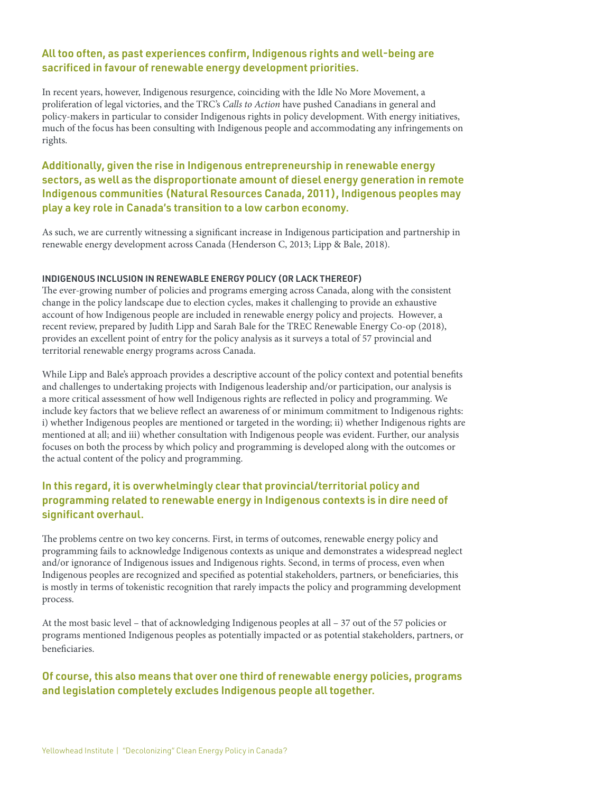### All too often, as past experiences confirm, Indigenous rights and well-being are sacrificed in favour of renewable energy development priorities.

In recent years, however, Indigenous resurgence, coinciding with the Idle No More Movement, a proliferation of legal victories, and the TRC's *Calls to Action* have pushed Canadians in general and policy-makers in particular to consider Indigenous rights in policy development. With energy initiatives, much of the focus has been consulting with Indigenous people and accommodating any infringements on rights.

## Additionally, given the rise in Indigenous entrepreneurship in renewable energy sectors, as well as the disproportionate amount of diesel energy generation in remote Indigenous communities (Natural Resources Canada, 2011), Indigenous peoples may play a key role in Canada's transition to a low carbon economy.

As such, we are currently witnessing a significant increase in Indigenous participation and partnership in renewable energy development across Canada (Henderson C, 2013; Lipp & Bale, 2018).

#### INDIGENOUS INCLUSION IN RENEWABLE ENERGY POLICY (OR LACK THEREOF)

The ever-growing number of policies and programs emerging across Canada, along with the consistent change in the policy landscape due to election cycles, makes it challenging to provide an exhaustive account of how Indigenous people are included in renewable energy policy and projects. However, a recent review, prepared by Judith Lipp and Sarah Bale for the TREC Renewable Energy Co-op (2018), provides an excellent point of entry for the policy analysis as it surveys a total of 57 provincial and territorial renewable energy programs across Canada.

While Lipp and Bale's approach provides a descriptive account of the policy context and potential benefits and challenges to undertaking projects with Indigenous leadership and/or participation, our analysis is a more critical assessment of how well Indigenous rights are reflected in policy and programming. We include key factors that we believe reflect an awareness of or minimum commitment to Indigenous rights: i) whether Indigenous peoples are mentioned or targeted in the wording; ii) whether Indigenous rights are mentioned at all; and iii) whether consultation with Indigenous people was evident. Further, our analysis focuses on both the process by which policy and programming is developed along with the outcomes or the actual content of the policy and programming.

## In this regard, it is overwhelmingly clear that provincial/territorial policy and programming related to renewable energy in Indigenous contexts is in dire need of significant overhaul.

The problems centre on two key concerns. First, in terms of outcomes, renewable energy policy and programming fails to acknowledge Indigenous contexts as unique and demonstrates a widespread neglect and/or ignorance of Indigenous issues and Indigenous rights. Second, in terms of process, even when Indigenous peoples are recognized and specified as potential stakeholders, partners, or beneficiaries, this is mostly in terms of tokenistic recognition that rarely impacts the policy and programming development process.

At the most basic level – that of acknowledging Indigenous peoples at all – 37 out of the 57 policies or programs mentioned Indigenous peoples as potentially impacted or as potential stakeholders, partners, or beneficiaries.

## Of course, this also means that over one third of renewable energy policies, programs and legislation completely excludes Indigenous people all together.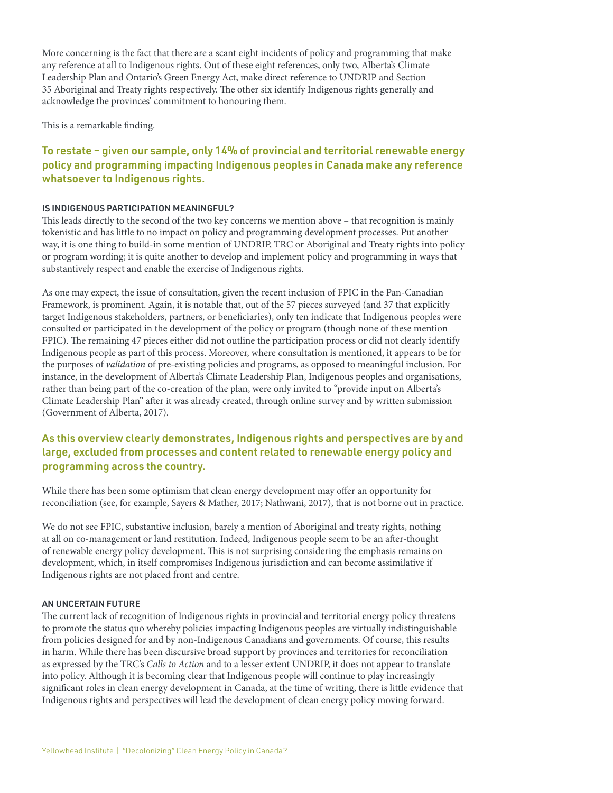More concerning is the fact that there are a scant eight incidents of policy and programming that make any reference at all to Indigenous rights. Out of these eight references, only two, Alberta's Climate Leadership Plan and Ontario's Green Energy Act, make direct reference to UNDRIP and Section 35 Aboriginal and Treaty rights respectively. The other six identify Indigenous rights generally and acknowledge the provinces' commitment to honouring them.

This is a remarkable finding.

## To restate – given our sample, only 14% of provincial and territorial renewable energy policy and programming impacting Indigenous peoples in Canada make any reference whatsoever to Indigenous rights.

#### IS INDIGENOUS PARTICIPATION MEANINGFUL?

This leads directly to the second of the two key concerns we mention above – that recognition is mainly tokenistic and has little to no impact on policy and programming development processes. Put another way, it is one thing to build-in some mention of UNDRIP, TRC or Aboriginal and Treaty rights into policy or program wording; it is quite another to develop and implement policy and programming in ways that substantively respect and enable the exercise of Indigenous rights.

As one may expect, the issue of consultation, given the recent inclusion of FPIC in the Pan-Canadian Framework, is prominent. Again, it is notable that, out of the 57 pieces surveyed (and 37 that explicitly target Indigenous stakeholders, partners, or beneficiaries), only ten indicate that Indigenous peoples were consulted or participated in the development of the policy or program (though none of these mention FPIC). The remaining 47 pieces either did not outline the participation process or did not clearly identify Indigenous people as part of this process. Moreover, where consultation is mentioned, it appears to be for the purposes of *validation* of pre-existing policies and programs, as opposed to meaningful inclusion. For instance, in the development of Alberta's Climate Leadership Plan, Indigenous peoples and organisations, rather than being part of the co-creation of the plan, were only invited to "provide input on Alberta's Climate Leadership Plan" after it was already created, through online survey and by written submission (Government of Alberta, 2017).

## As this overview clearly demonstrates, Indigenous rights and perspectives are by and large, excluded from processes and content related to renewable energy policy and programming across the country.

While there has been some optimism that clean energy development may offer an opportunity for reconciliation (see, for example, Sayers & Mather, 2017; Nathwani, 2017), that is not borne out in practice.

We do not see FPIC, substantive inclusion, barely a mention of Aboriginal and treaty rights, nothing at all on co-management or land restitution. Indeed, Indigenous people seem to be an after-thought of renewable energy policy development. This is not surprising considering the emphasis remains on development, which, in itself compromises Indigenous jurisdiction and can become assimilative if Indigenous rights are not placed front and centre.

#### AN UNCERTAIN FUTURE

The current lack of recognition of Indigenous rights in provincial and territorial energy policy threatens to promote the status quo whereby policies impacting Indigenous peoples are virtually indistinguishable from policies designed for and by non-Indigenous Canadians and governments. Of course, this results in harm. While there has been discursive broad support by provinces and territories for reconciliation as expressed by the TRC's *Calls to Action* and to a lesser extent UNDRIP, it does not appear to translate into policy. Although it is becoming clear that Indigenous people will continue to play increasingly significant roles in clean energy development in Canada, at the time of writing, there is little evidence that Indigenous rights and perspectives will lead the development of clean energy policy moving forward.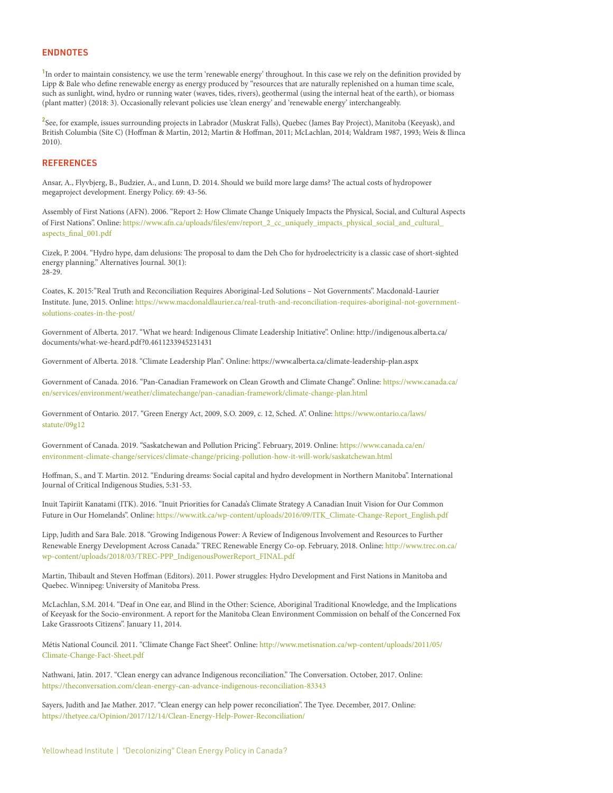#### ENDNOTES

<sup>1</sup>In order to maintain consistency, we use the term 'renewable energy' throughout. In this case we rely on the definition provided by Lipp & Bale who define renewable energy as energy produced by "resources that are naturally replenished on a human time scale, such as sunlight, wind, hydro or running water (waves, tides, rivers), geothermal (using the internal heat of the earth), or biomass (plant matter) (2018: 3). Occasionally relevant policies use 'clean energy' and 'renewable energy' interchangeably.

2 See, for example, issues surrounding projects in Labrador (Muskrat Falls), Quebec (James Bay Project), Manitoba (Keeyask), and British Columbia (Site C) (Hoffman & Martin, 2012; Martin & Hoffman, 2011; McLachlan, 2014; Waldram 1987, 1993; Weis & Ilinca 2010).

#### **REFERENCES**

Ansar, A., Flyvbjerg, B., Budzier, A., and Lunn, D. 2014. Should we build more large dams? The actual costs of hydropower megaproject development. Energy Policy. 69: 43-56.

Assembly of First Nations (AFN). 2006. "Report 2: How Climate Change Uniquely Impacts the Physical, Social, and Cultural Aspects of First Nations". Online: [https://www.afn.ca/uploads/files/env/report\\_2\\_cc\\_uniquely\\_impacts\\_physical\\_social\\_and\\_cultural\\_](https://www.afn.ca/uploads/files/env/report_2_cc_uniquely_impacts_physical_social_and_cultural_aspec) [aspects\\_final\\_001.pdf](https://www.afn.ca/uploads/files/env/report_2_cc_uniquely_impacts_physical_social_and_cultural_aspec)

Cizek, P. 2004. "Hydro hype, dam delusions: The proposal to dam the Deh Cho for hydroelectricity is a classic case of short-sighted energy planning." Alternatives Journal. 30(1): 28-29.

Coates, K. 2015:"Real Truth and Reconciliation Requires Aboriginal-Led Solutions – Not Governments". Macdonald-Laurier Institute. June, 2015. Online: [https://www.macdonaldlaurier.ca/real-truth-and-reconciliation-requires-aboriginal-not-government](https://www.macdonaldlaurier.ca/real-truth-and-reconciliation-requires-aboriginal-not-government-sol)[solutions-coates-in-the-post/](https://www.macdonaldlaurier.ca/real-truth-and-reconciliation-requires-aboriginal-not-government-sol)

Government of Alberta. 2017. "What we heard: Indigenous Climate Leadership Initiative". Online: http://indigenous.alberta.ca/ documents/what-we-heard.pdf?0.4611233945231431

Government of Alberta. 2018. "Climate Leadership Plan". Online: https://www.alberta.ca/climate-leadership-plan.aspx

Government of Canada. 2016. "Pan-Canadian Framework on Clean Growth and Climate Change". Online: [https://www.canada.ca/](https://www.canada.ca/en/services/environment/weather/climatechange/pan-canadian-framework/climate-c) [en/services/environment/weather/climatechange/pan-canadian-framework/climate-change-plan.html](https://www.canada.ca/en/services/environment/weather/climatechange/pan-canadian-framework/climate-c)

Government of Ontario. 2017. "Green Energy Act, 2009, S.O. 2009, c. 12, Sched. A". Online: [https://www.ontario.ca/laws/](https://www.ontario.ca/laws/statute/09g12 ) [statute/09g12](https://www.ontario.ca/laws/statute/09g12 )

Government of Canada. 2019. "Saskatchewan and Pollution Pricing". February, 2019. Online: [https://www.canada.ca/en/](https://www.canada.ca/en/environment-climate-change/services/climate-change/pricing-pollution-how-it) [environment-climate-change/services/climate-change/pricing-pollution-how-it-will-work/saskatchewan.html](https://www.canada.ca/en/environment-climate-change/services/climate-change/pricing-pollution-how-it)

Hoffman, S., and T. Martin. 2012. "Enduring dreams: Social capital and hydro development in Northern Manitoba". International Journal of Critical Indigenous Studies, 5:31-53.

Inuit Tapiriit Kanatami (ITK). 2016. "Inuit Priorities for Canada's Climate Strategy A Canadian Inuit Vision for Our Common Future in Our Homelands". Online: [https://www.itk.ca/wp-content/uploads/2016/09/ITK\\_Climate-Change-Report\\_English.pdf](https://www.itk.ca/wp-content/uploads/2016/09/ITK_Climate-Change-Report_English.pdf )

Lipp, Judith and Sara Bale. 2018. "Growing Indigenous Power: A Review of Indigenous Involvement and Resources to Further Renewable Energy Development Across Canada." TREC Renewable Energy Co-op. February, 2018. Online: [http://www.trec.on.ca/](http://www.trec.on.ca/wp-content/uploads/2018/03/TREC-PPP_IndigenousPowerReport_FINAL.pdf ) [wp-content/uploads/2018/03/TREC-PPP\\_IndigenousPowerReport\\_FINAL.pdf](http://www.trec.on.ca/wp-content/uploads/2018/03/TREC-PPP_IndigenousPowerReport_FINAL.pdf )

Martin, Thibault and Steven Hoffman (Editors). 2011. Power struggles: Hydro Development and First Nations in Manitoba and Quebec. Winnipeg: University of Manitoba Press.

McLachlan, S.M. 2014. "Deaf in One ear, and Blind in the Other: Science, Aboriginal Traditional Knowledge, and the Implications of Keeyask for the Socio-environment. A report for the Manitoba Clean Environment Commission on behalf of the Concerned Fox Lake Grassroots Citizens". January 11, 2014.

Métis National Council. 2011. "Climate Change Fact Sheet". Online: [http://www.metisnation.ca/wp-content/uploads/2011/05/](http://www.metisnation.ca/wp-content/uploads/2011/05/Climate-Change-Fact-Sheet.pdf ) [Climate-Change-Fact-Sheet.pdf](http://www.metisnation.ca/wp-content/uploads/2011/05/Climate-Change-Fact-Sheet.pdf )

Nathwani, Jatin. 2017. "Clean energy can advance Indigenous reconciliation." The Conversation. October, 2017. Online: <https://theconversation.com/clean-energy-can-advance-indigenous-reconciliation-83343>

Sayers, Judith and Jae Mather. 2017. "Clean energy can help power reconciliation". The Tyee. December, 2017. Online: <https://thetyee.ca/Opinion/2017/12/14/Clean-Energy-Help-Power-Reconciliation/>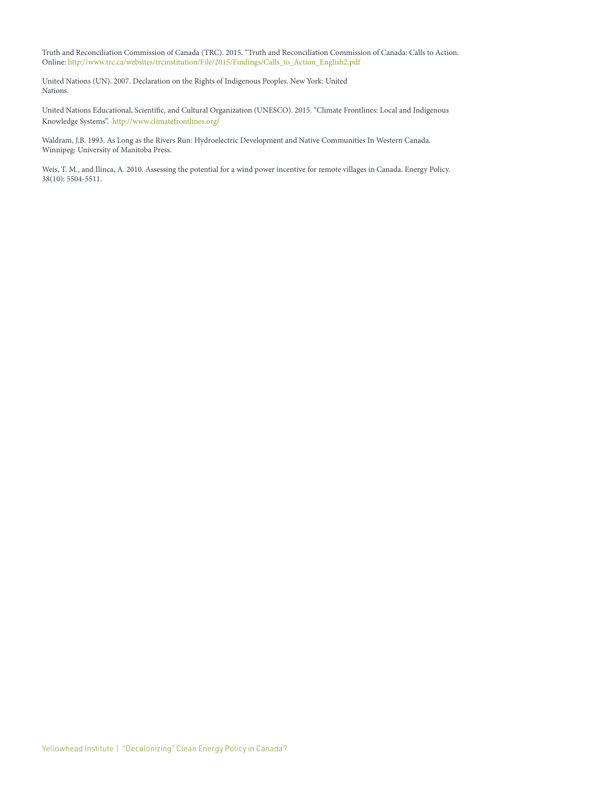Truth and Reconciliation Commission of Canada (TRC). 2015. "Truth and Reconciliation Commission of Canada: Calls to Action. Online: [http://www.trc.ca/websites/trcinstitution/File/2015/Findings/Calls\\_to\\_Action\\_English2.pdf](http://www.trc.ca/websites/trcinstitution/File/2015/Findings/Calls_to_Action_English2.pdf)

United Nations (UN). 2007. Declaration on the Rights of Indigenous Peoples. New York: United Nations.

United Nations Educational, Scientific, and Cultural Organization (UNESCO). 2015. "Climate Frontlines: Local and Indigenous Knowledge Systems". <http://www.climatefrontlines.org/>

Waldram, J.B. 1993. As Long as the Rivers Run: Hydroelectric Development and Native Communities In Western Canada. Winnipeg: University of Manitoba Press.

Weis, T. M., and Ilinca, A. 2010. Assessing the potential for a wind power incentive for remote villages in Canada. Energy Policy. 38(10): 5504-5511.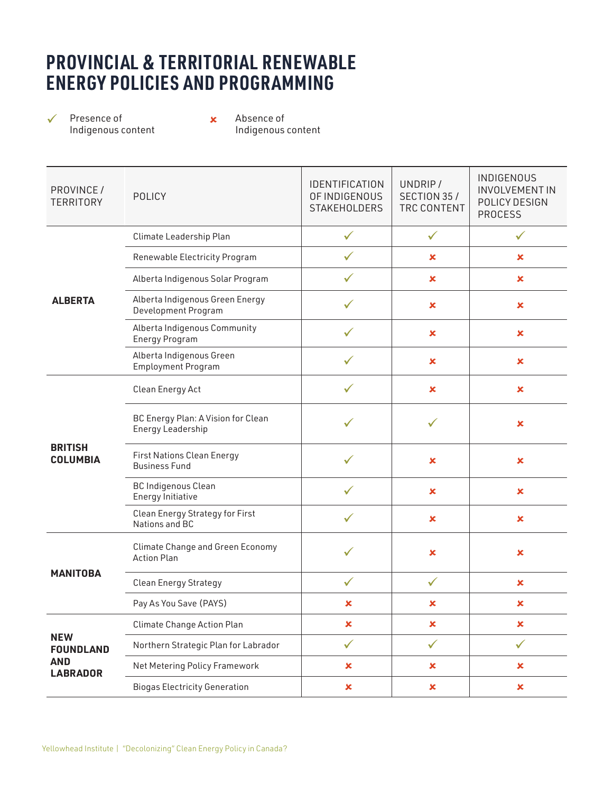# **PROVINCIAL & TERRITORIAL RENEWABLE ENERGY POLICIES AND PROGRAMMING**

 $\checkmark$  Presence of  $\checkmark$ Indigenous content

Absence of Indigenous content

| PROVINCE /<br><b>TERRITORY</b>                                  | <b>POLICY</b>                                                 | IDENTIFICATION<br>OF INDIGENOUS<br><b>STAKEHOLDERS</b> | UNDRIP/<br>SECTION 35/<br>TRC CONTENT | <b>INDIGENOUS</b><br><b>INVOLVEMENT IN</b><br>POLICY DESIGN<br><b>PROCESS</b> |
|-----------------------------------------------------------------|---------------------------------------------------------------|--------------------------------------------------------|---------------------------------------|-------------------------------------------------------------------------------|
| <b>ALBERTA</b>                                                  | Climate Leadership Plan                                       | $\checkmark$                                           | $\checkmark$                          | $\checkmark$                                                                  |
|                                                                 | Renewable Electricity Program                                 | ✓                                                      | ×                                     | ×                                                                             |
|                                                                 | Alberta Indigenous Solar Program                              | ✓                                                      | ×                                     | ×                                                                             |
|                                                                 | Alberta Indigenous Green Energy<br>Development Program        |                                                        | ×                                     | ×                                                                             |
|                                                                 | Alberta Indigenous Community<br><b>Energy Program</b>         | ✓                                                      | ×                                     | ×                                                                             |
|                                                                 | Alberta Indigenous Green<br><b>Employment Program</b>         | ✓                                                      | $\mathbf x$                           | $\pmb{\times}$                                                                |
| <b>BRITISH</b><br><b>COLUMBIA</b>                               | Clean Energy Act                                              |                                                        | ×                                     | ×                                                                             |
|                                                                 | BC Energy Plan: A Vision for Clean<br>Energy Leadership       |                                                        | ✓                                     | ×                                                                             |
|                                                                 | <b>First Nations Clean Energy</b><br><b>Business Fund</b>     |                                                        | ×                                     | $\pmb{\times}$                                                                |
|                                                                 | <b>BC Indigenous Clean</b><br>Energy Initiative               | ✓                                                      | $\boldsymbol{\mathsf{x}}$             | $\pmb{\times}$                                                                |
|                                                                 | Clean Energy Strategy for First<br>Nations and BC             | ✓                                                      | $\mathbf x$                           | $\mathbf x$                                                                   |
| <b>MANITOBA</b>                                                 | <b>Climate Change and Green Economy</b><br><b>Action Plan</b> | ✓                                                      | $\pmb{\times}$                        | ×                                                                             |
|                                                                 | <b>Clean Energy Strategy</b>                                  | ✓                                                      | ✓                                     | ×                                                                             |
|                                                                 | Pay As You Save (PAYS)                                        | ×                                                      | ×                                     | ×                                                                             |
| <b>NEW</b><br><b>FOUNDLAND</b><br><b>AND</b><br><b>LABRADOR</b> | Climate Change Action Plan                                    | ×                                                      | ×                                     | ×                                                                             |
|                                                                 | Northern Strategic Plan for Labrador                          | $\checkmark$                                           | $\checkmark$                          | $\checkmark$                                                                  |
|                                                                 | Net Metering Policy Framework                                 | $\pmb{\times}$                                         | $\mathbf x$                           | ×                                                                             |
|                                                                 | <b>Biogas Electricity Generation</b>                          | $\pmb{\times}$                                         | ×                                     | ×                                                                             |
|                                                                 |                                                               |                                                        |                                       |                                                                               |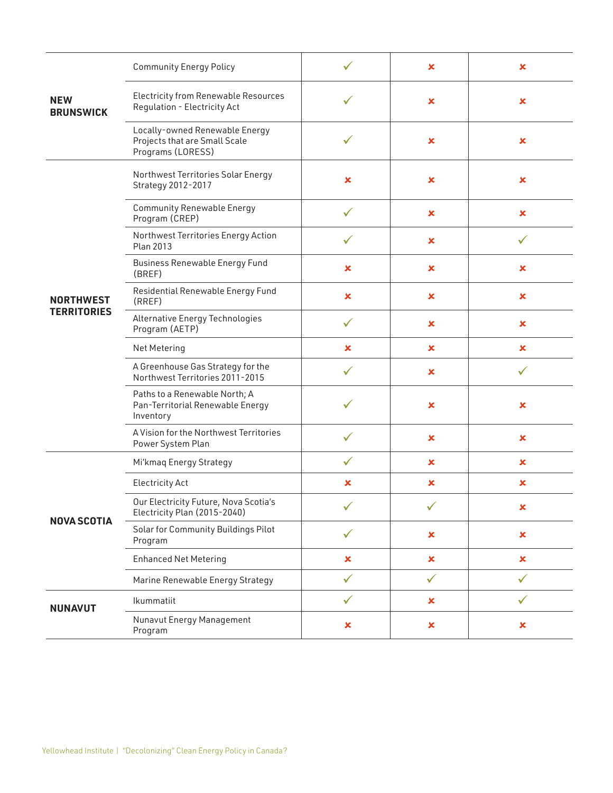| <b>NEW</b><br><b>BRUNSWICK</b>         | <b>Community Energy Policy</b>                                                       |                | $\boldsymbol{\mathsf{x}}$ | ×              |
|----------------------------------------|--------------------------------------------------------------------------------------|----------------|---------------------------|----------------|
|                                        | <b>Electricity from Renewable Resources</b><br>Regulation - Electricity Act          | ✓              | $\boldsymbol{\mathsf{x}}$ | ×              |
|                                        | Locally-owned Renewable Energy<br>Projects that are Small Scale<br>Programs (LORESS) | ✓              | $\pmb{\times}$            | ×              |
| <b>NORTHWEST</b><br><b>TERRITORIES</b> | Northwest Territories Solar Energy<br>Strategy 2012-2017                             | $\pmb{\times}$ | $\boldsymbol{\mathsf{x}}$ | $\pmb{\times}$ |
|                                        | <b>Community Renewable Energy</b><br>Program (CREP)                                  | $\checkmark$   | $\pmb{\times}$            | $\pmb{\times}$ |
|                                        | Northwest Territories Energy Action<br>Plan 2013                                     |                | $\boldsymbol{\mathsf{x}}$ |                |
|                                        | <b>Business Renewable Energy Fund</b><br>(BREF)                                      | $\pmb{\times}$ | $\boldsymbol{\mathsf{x}}$ | $\pmb{\times}$ |
|                                        | Residential Renewable Energy Fund<br>(RREF)                                          | ×              | $\pmb{\times}$            | $\pmb{\times}$ |
|                                        | Alternative Energy Technologies<br>Program (AETP)                                    | $\checkmark$   | $\boldsymbol{\mathsf{x}}$ | $\pmb{\times}$ |
|                                        | Net Metering                                                                         | ×              | ×                         | ×              |
|                                        | A Greenhouse Gas Strategy for the<br>Northwest Territories 2011-2015                 | ✓              | ×                         | ✓              |
|                                        | Paths to a Renewable North; A<br>Pan-Territorial Renewable Energy<br>Inventory       | $\checkmark$   | $\boldsymbol{\mathsf{x}}$ | $\pmb{\times}$ |
|                                        | A Vision for the Northwest Territories<br>Power System Plan                          | $\checkmark$   | $\pmb{\times}$            | ×              |
| <b>NOVA SCOTIA</b>                     | Mi'kmaq Energy Strategy                                                              | $\checkmark$   | ×                         | ×              |
|                                        | <b>Electricity Act</b>                                                               | ×              | ×                         | ×              |
|                                        | Our Electricity Future, Nova Scotia's<br>Electricity Plan (2015-2040)                |                |                           | ×              |
|                                        | Solar for Community Buildings Pilot<br>Program                                       | $\checkmark$   | $\pmb{\times}$            | $\pmb{\times}$ |
|                                        | <b>Enhanced Net Metering</b>                                                         | $\pmb{\times}$ | $\boldsymbol{\mathsf{x}}$ | $\pmb{\times}$ |
|                                        | Marine Renewable Energy Strategy                                                     | $\checkmark$   | $\checkmark$              | $\checkmark$   |
| <b>NUNAVUT</b>                         | Ikummatiit                                                                           | $\checkmark$   | ×                         | ✓              |
|                                        | Nunavut Energy Management<br>Program                                                 | $\pmb{\times}$ | $\pmb{\times}$            | ×              |